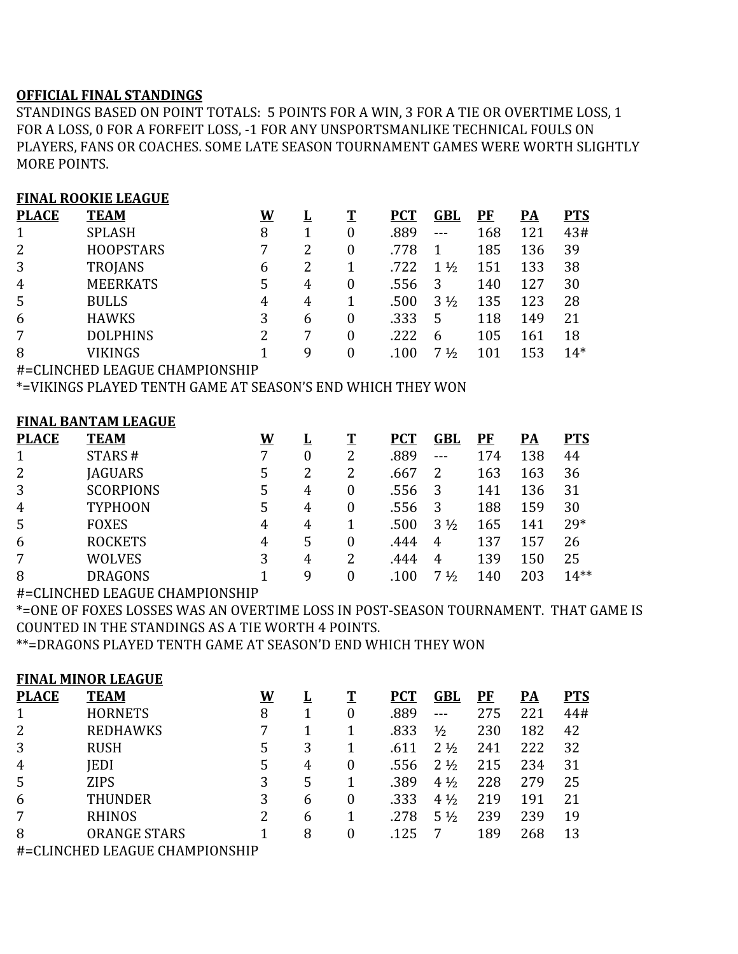## **OFFICIAL FINAL STANDINGS**

STANDINGS BASED ON POINT TOTALS: 5 POINTS FOR A WIN, 3 FOR A TIE OR OVERTIME LOSS, 1 FOR A LOSS, 0 FOR A FORFEIT LOSS, -1 FOR ANY UNSPORTSMANLIKE TECHNICAL FOULS ON PLAYERS, FANS OR COACHES. SOME LATE SEASON TOURNAMENT GAMES WERE WORTH SLIGHTLY MORE POINTS.

### **FINAL ROOKIE LEAGUE**

| <b>PLACE</b>   | <b>TEAM</b>      | W | ப | T        | <b>PCT</b> | GBL            | $\overline{\mathbf{P}}$ F | PA  | <b>PTS</b> |
|----------------|------------------|---|---|----------|------------|----------------|---------------------------|-----|------------|
| $\mathbf{1}$   | <b>SPLASH</b>    | 8 |   | 0        | .889       |                | 168                       | 121 | 43#        |
| 2              | <b>HOOPSTARS</b> | 7 | 2 | 0        | .778       |                | 185                       | 136 | 39         |
| 3              | TROJANS          | 6 | 2 |          | .722       | $1\frac{1}{2}$ | 151                       | 133 | 38         |
| $\overline{4}$ | <b>MEERKATS</b>  | 5 | 4 | 0        | .556       |                | 140                       | 127 | 30         |
| 5              | <b>BULLS</b>     | 4 | 4 |          | .500       | $3\frac{1}{2}$ | 135                       | 123 | 28         |
| 6              | <b>HAWKS</b>     | 3 | 6 | $\theta$ | .333       | 5              | 118                       | 149 | 21         |
| 7              | <b>DOLPHINS</b>  | 2 |   | 0        | .222       | $\mathsf{h}$   | 105                       | 161 | 18         |
| 8              | VIKINGS          |   | q | 0        | .100       | 71/2           | 101                       | 153 | $14*$      |
|                |                  |   |   |          |            |                |                           |     |            |

#=CLINCHED LEAGUE CHAMPIONSHIP

\*=VIKINGS PLAYED TENTH GAME AT SEASON'S END WHICH THEY WON

### **FINAL BANTAM LEAGUE**

| <b>PLACE</b>   | <b>TEAM</b>      | W |   | T | <b>PCT</b> | GBL            | PF  | <u>PA</u> | <b>PTS</b> |
|----------------|------------------|---|---|---|------------|----------------|-----|-----------|------------|
| 1              | STARS#           | 7 | 0 | 2 | .889       | $- - -$        | 174 | 138       | 44         |
| 2              | <b>JAGUARS</b>   | 5 |   | 2 | .667       | 2              | 163 | 163       | 36         |
| 3              | <b>SCORPIONS</b> | 5 | 4 |   | .556       | 3              | 141 | 136       | 31         |
| $\overline{4}$ | <b>TYPHOON</b>   | 5 | 4 | 0 | .556       | 3              | 188 | 159       | 30         |
| 5              | <b>FOXES</b>     | 4 | 4 |   | .500       | $3\frac{1}{2}$ | 165 | 141       | $29*$      |
| 6              | <b>ROCKETS</b>   | 4 | 5 | 0 | .444       | 4              | 137 | 157       | 26         |
| 7              | <b>WOLVES</b>    | 3 | 4 | 2 | .444       | 4              | 139 | 150       | 25         |
| 8              | <b>DRAGONS</b>   |   | q |   | .100       | $\frac{1}{2}$  | 140 | 203       | $14**$     |

#=CLINCHED LEAGUE CHAMPIONSHIP

\*=ONE OF FOXES LOSSES WAS AN OVERTIME LOSS IN POST-SEASON TOURNAMENT. THAT GAME IS COUNTED IN THE STANDINGS AS A TIE WORTH 4 POINTS.

\*\*=DRAGONS PLAYED TENTH GAME AT SEASON'D END WHICH THEY WON

#### **FINAL MINOR LEAGUE**

| <b>PLACE</b>   | <b>TEAM</b>                    | W | <u>ப</u> | T | <b>PCT</b> | <b>GBL</b>     | $\overline{\mathbf{P}}$ F | PA  | <b>PTS</b> |
|----------------|--------------------------------|---|----------|---|------------|----------------|---------------------------|-----|------------|
| $\mathbf{1}$   | <b>HORNETS</b>                 | 8 |          | 0 | .889       | ---            | 275                       | 221 | 44#        |
| 2              | <b>REDHAWKS</b>                |   |          |   | .833       | $\frac{1}{2}$  | 230                       | 182 | 42         |
| 3              | <b>RUSH</b>                    | 5 | 3        |   | .611       | $2\frac{1}{2}$ | 241                       | 222 | 32         |
| $\overline{4}$ | <b>IEDI</b>                    | 5 | 4        | 0 | .556       | $2\frac{1}{2}$ | 215                       | 234 | 31         |
| 5              | <b>ZIPS</b>                    | 3 | 5        |   | .389       | $4\frac{1}{2}$ | 228                       | 279 | 25         |
| 6              | <b>THUNDER</b>                 | 3 | 6        | 0 | .333       | $4\frac{1}{2}$ | 219                       | 191 | 21         |
| 7              | <b>RHINOS</b>                  | 2 | 6        |   | .278       | $5\frac{1}{2}$ | 239                       | 239 | 19         |
| 8              | <b>ORANGE STARS</b>            |   | 8        | 0 | .125       |                | 189                       | 268 | 13         |
|                | #=CLINCHED LEAGUE CHAMPIONSHIP |   |          |   |            |                |                           |     |            |